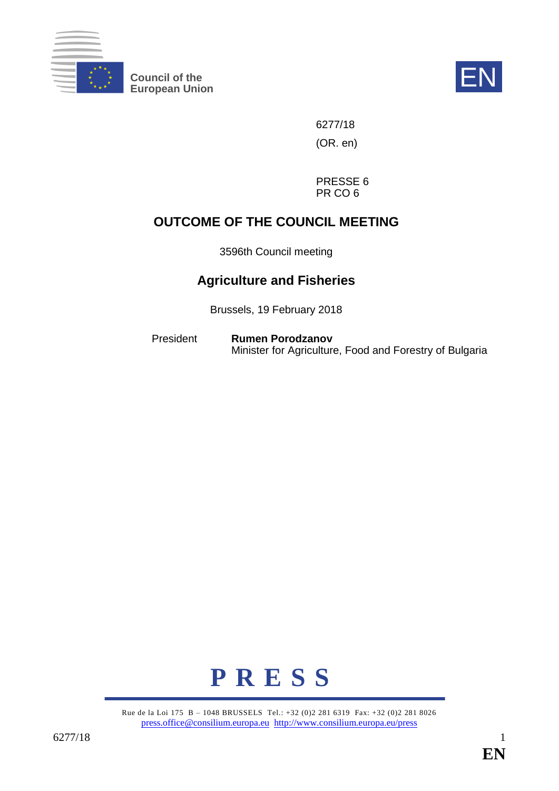

**Council of the EN**<br>
European Union



6277/18 (OR. en)

PRESSE 6 PR CO 6

# **OUTCOME OF THE COUNCIL MEETING**

3596th Council meeting

# **Agriculture and Fisheries**

Brussels, 19 February 2018

President **Rumen Porodzanov** Minister for Agriculture, Food and Forestry of Bulgaria



Rue de la Loi 175 B – 1048 BRUSSELS Tel.: +32 (0)2 281 6319 Fax: +32 (0)2 281 8026 [press.office@consilium.europa.eu](mailto:press.office@consilium.europa.eu) <http://www.consilium.europa.eu/press>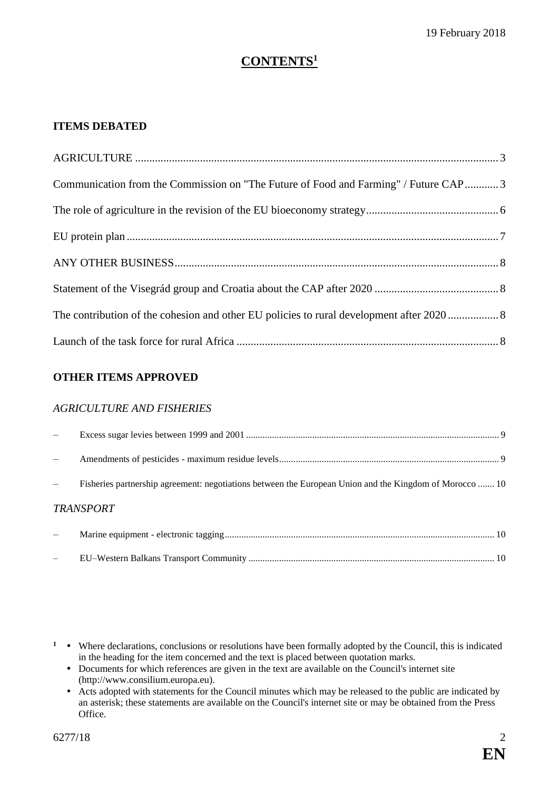# **CONTENTS<sup>1</sup>**

#### **ITEMS DEBATED**

| Communication from the Commission on "The Future of Food and Farming" / Future CAP3 |  |
|-------------------------------------------------------------------------------------|--|
|                                                                                     |  |
|                                                                                     |  |
|                                                                                     |  |
|                                                                                     |  |
|                                                                                     |  |
|                                                                                     |  |

#### **OTHER ITEMS APPROVED**

#### *AGRICULTURE AND FISHERIES*

| Fisheries partnership agreement: negotiations between the European Union and the Kingdom of Morocco  10 |  |
|---------------------------------------------------------------------------------------------------------|--|
| <b>TRANSPORT</b>                                                                                        |  |
|                                                                                                         |  |

– EU–Western Balkans Transport Community ........................................................................................................ [10](#page-9-2)

- Documents for which references are given in the text are available on the Council's internet site (http://www.consilium.europa.eu).
- Acts adopted with statements for the Council minutes which may be released to the public are indicated by an asterisk; these statements are available on the Council's internet site or may be obtained from the Press Office.

<sup>&</sup>lt;sup>1</sup> • Where declarations, conclusions or resolutions have been formally adopted by the Council, this is indicated in the heading for the item concerned and the text is placed between quotation marks.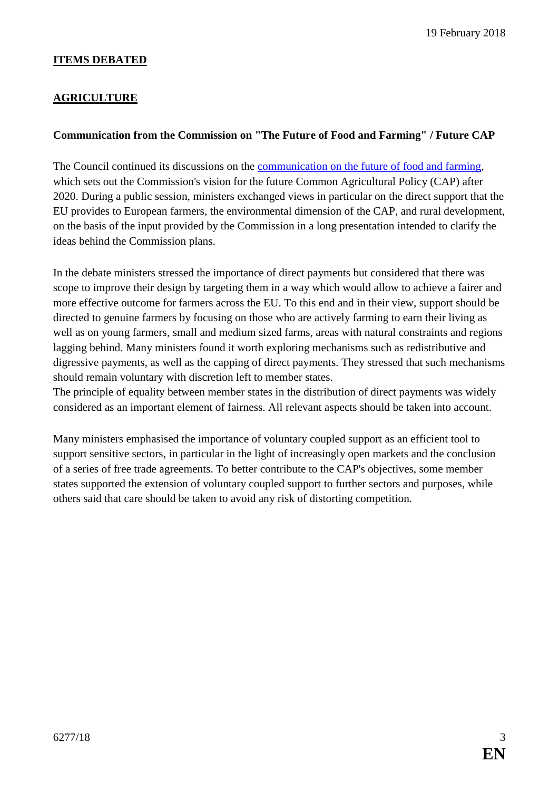#### **ITEMS DEBATED**

#### <span id="page-2-0"></span>**AGRICULTURE**

#### <span id="page-2-1"></span>**Communication from the Commission on "The Future of Food and Farming" / Future CAP**

The Council continued its discussions on the [communication on the future of food and farming,](http://data.consilium.europa.eu/doc/document/ST-14977-2017-INIT/en/pdf) which sets out the Commission's vision for the future Common Agricultural Policy (CAP) after 2020. During a public session, ministers exchanged views in particular on the direct support that the EU provides to European farmers, the environmental dimension of the CAP, and rural development, on the basis of the input provided by the Commission in a long presentation intended to clarify the ideas behind the Commission plans.

In the debate ministers stressed the importance of direct payments but considered that there was scope to improve their design by targeting them in a way which would allow to achieve a fairer and more effective outcome for farmers across the EU. To this end and in their view, support should be directed to genuine farmers by focusing on those who are actively farming to earn their living as well as on young farmers, small and medium sized farms, areas with natural constraints and regions lagging behind. Many ministers found it worth exploring mechanisms such as redistributive and digressive payments, as well as the capping of direct payments. They stressed that such mechanisms should remain voluntary with discretion left to member states.

The principle of equality between member states in the distribution of direct payments was widely considered as an important element of fairness. All relevant aspects should be taken into account.

Many ministers emphasised the importance of voluntary coupled support as an efficient tool to support sensitive sectors, in particular in the light of increasingly open markets and the conclusion of a series of free trade agreements. To better contribute to the CAP's objectives, some member states supported the extension of voluntary coupled support to further sectors and purposes, while others said that care should be taken to avoid any risk of distorting competition.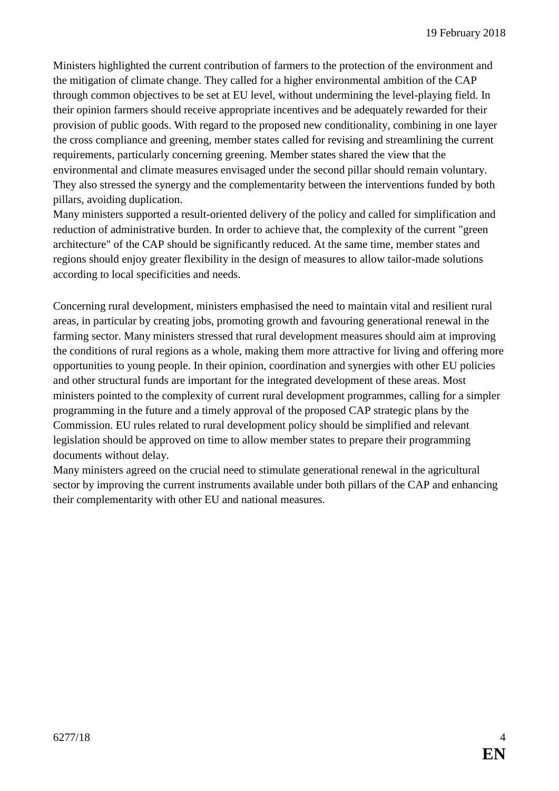Ministers highlighted the current contribution of farmers to the protection of the environment and the mitigation of climate change. They called for a higher environmental ambition of the CAP through common objectives to be set at EU level, without undermining the level-playing field. In their opinion farmers should receive appropriate incentives and be adequately rewarded for their provision of public goods. With regard to the proposed new conditionality, combining in one layer the cross compliance and greening, member states called for revising and streamlining the current requirements, particularly concerning greening. Member states shared the view that the environmental and climate measures envisaged under the second pillar should remain voluntary. They also stressed the synergy and the complementarity between the interventions funded by both pillars, avoiding duplication.

Many ministers supported a result-oriented delivery of the policy and called for simplification and reduction of administrative burden. In order to achieve that, the complexity of the current "green architecture" of the CAP should be significantly reduced. At the same time, member states and regions should enjoy greater flexibility in the design of measures to allow tailor-made solutions according to local specificities and needs.

Concerning rural development, ministers emphasised the need to maintain vital and resilient rural areas, in particular by creating jobs, promoting growth and favouring generational renewal in the farming sector. Many ministers stressed that rural development measures should aim at improving the conditions of rural regions as a whole, making them more attractive for living and offering more opportunities to young people. In their opinion, coordination and synergies with other EU policies and other structural funds are important for the integrated development of these areas. Most ministers pointed to the complexity of current rural development programmes, calling for a simpler programming in the future and a timely approval of the proposed CAP strategic plans by the Commission. EU rules related to rural development policy should be simplified and relevant legislation should be approved on time to allow member states to prepare their programming documents without delay.

Many ministers agreed on the crucial need to stimulate generational renewal in the agricultural sector by improving the current instruments available under both pillars of the CAP and enhancing their complementarity with other EU and national measures.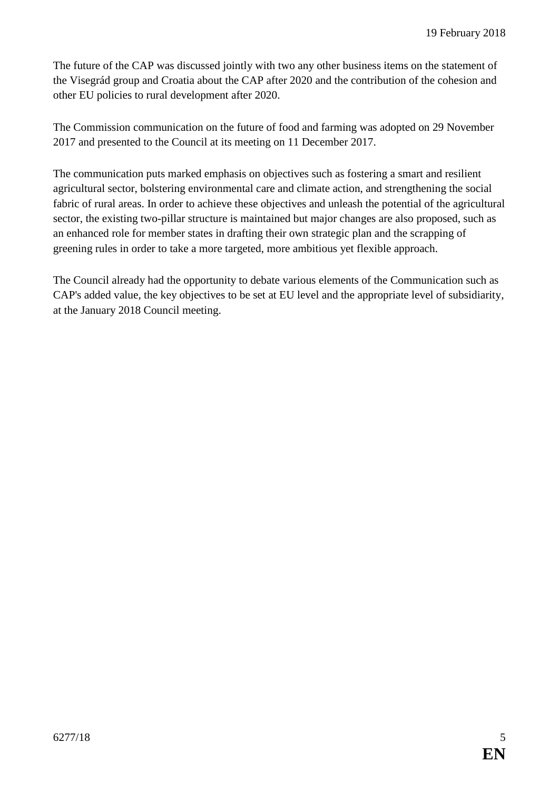The future of the CAP was discussed jointly with two any other business items on the statement of the Visegrád group and Croatia about the CAP after 2020 and the contribution of the cohesion and other EU policies to rural development after 2020.

The Commission communication on the future of food and farming was adopted on 29 November 2017 and presented to the Council at its meeting on 11 December 2017.

The communication puts marked emphasis on objectives such as fostering a smart and resilient agricultural sector, bolstering environmental care and climate action, and strengthening the social fabric of rural areas. In order to achieve these objectives and unleash the potential of the agricultural sector, the existing two-pillar structure is maintained but major changes are also proposed, such as an enhanced role for member states in drafting their own strategic plan and the scrapping of greening rules in order to take a more targeted, more ambitious yet flexible approach.

The Council already had the opportunity to debate various elements of the Communication such as CAP's added value, the key objectives to be set at EU level and the appropriate level of subsidiarity, at the January 2018 Council meeting.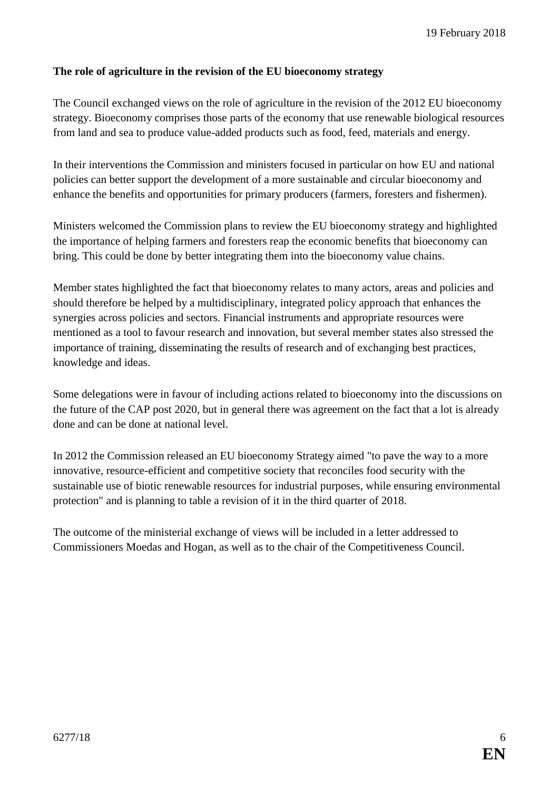#### <span id="page-5-0"></span>**The role of agriculture in the revision of the EU bioeconomy strategy**

The Council exchanged views on the role of agriculture in the revision of the 2012 EU bioeconomy strategy. Bioeconomy comprises those parts of the economy that use renewable biological resources from land and sea to produce value-added products such as food, feed, materials and energy.

In their interventions the Commission and ministers focused in particular on how EU and national policies can better support the development of a more sustainable and circular bioeconomy and enhance the benefits and opportunities for primary producers (farmers, foresters and fishermen).

Ministers welcomed the Commission plans to review the EU bioeconomy strategy and highlighted the importance of helping farmers and foresters reap the economic benefits that bioeconomy can bring. This could be done by better integrating them into the bioeconomy value chains.

Member states highlighted the fact that bioeconomy relates to many actors, areas and policies and should therefore be helped by a multidisciplinary, integrated policy approach that enhances the synergies across policies and sectors. Financial instruments and appropriate resources were mentioned as a tool to favour research and innovation, but several member states also stressed the importance of training, disseminating the results of research and of exchanging best practices, knowledge and ideas.

Some delegations were in favour of including actions related to bioeconomy into the discussions on the future of the CAP post 2020, but in general there was agreement on the fact that a lot is already done and can be done at national level.

In 2012 the Commission released an EU bioeconomy Strategy aimed "to pave the way to a more innovative, resource-efficient and competitive society that reconciles food security with the sustainable use of biotic renewable resources for industrial purposes, while ensuring environmental protection" and is planning to table a revision of it in the third quarter of 2018.

The outcome of the ministerial exchange of views will be included in a letter addressed to Commissioners Moedas and Hogan, as well as to the chair of the Competitiveness Council.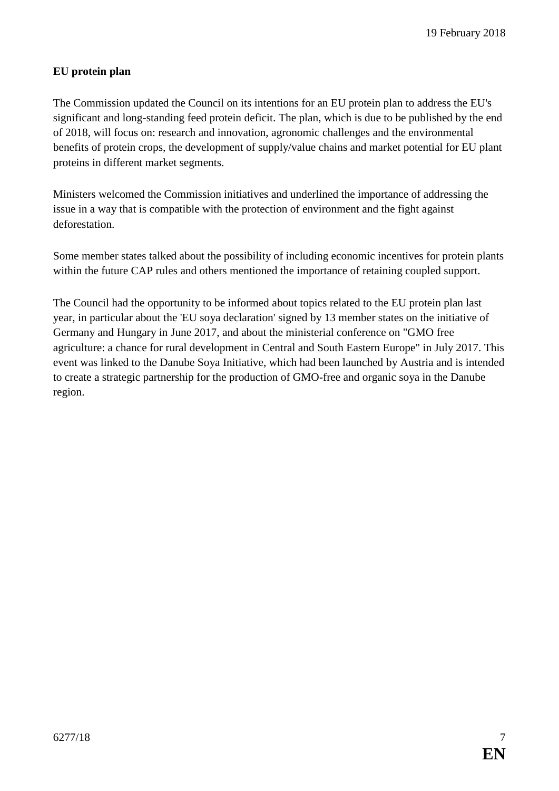#### <span id="page-6-0"></span>**EU protein plan**

The Commission updated the Council on its intentions for an EU protein plan to address the EU's significant and long-standing feed protein deficit. The plan, which is due to be published by the end of 2018, will focus on: research and innovation, agronomic challenges and the environmental benefits of protein crops, the development of supply/value chains and market potential for EU plant proteins in different market segments.

Ministers welcomed the Commission initiatives and underlined the importance of addressing the issue in a way that is compatible with the protection of environment and the fight against deforestation.

Some member states talked about the possibility of including economic incentives for protein plants within the future CAP rules and others mentioned the importance of retaining coupled support.

The Council had the opportunity to be informed about topics related to the EU protein plan last year, in particular about the 'EU soya declaration' signed by 13 member states on the initiative of Germany and Hungary in June 2017, and about the ministerial conference on "GMO free agriculture: a chance for rural development in Central and South Eastern Europe" in July 2017. This event was linked to the Danube Soya Initiative, which had been launched by Austria and is intended to create a strategic partnership for the production of GMO-free and organic soya in the Danube region.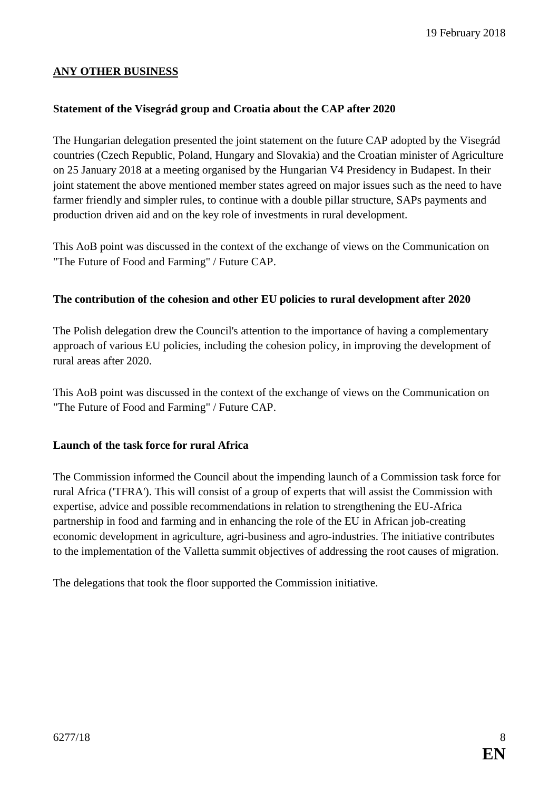## <span id="page-7-0"></span>**ANY OTHER BUSINESS**

#### <span id="page-7-1"></span>**Statement of the Visegrád group and Croatia about the CAP after 2020**

The Hungarian delegation presented the joint statement on the future CAP adopted by the Visegrád countries (Czech Republic, Poland, Hungary and Slovakia) and the Croatian minister of Agriculture on 25 January 2018 at a meeting organised by the Hungarian V4 Presidency in Budapest. In their joint statement the above mentioned member states agreed on major issues such as the need to have farmer friendly and simpler rules, to continue with a double pillar structure, SAPs payments and production driven aid and on the key role of investments in rural development.

This AoB point was discussed in the context of the exchange of views on the Communication on "The Future of Food and Farming" / Future CAP.

#### <span id="page-7-2"></span>**The contribution of the cohesion and other EU policies to rural development after 2020**

The Polish delegation drew the Council's attention to the importance of having a complementary approach of various EU policies, including the cohesion policy, in improving the development of rural areas after 2020.

This AoB point was discussed in the context of the exchange of views on the Communication on "The Future of Food and Farming" / Future CAP.

#### <span id="page-7-3"></span>**Launch of the task force for rural Africa**

The Commission informed the Council about the impending launch of a Commission task force for rural Africa ('TFRA'). This will consist of a group of experts that will assist the Commission with expertise, advice and possible recommendations in relation to strengthening the EU-Africa partnership in food and farming and in enhancing the role of the EU in African job-creating economic development in agriculture, agri-business and agro-industries. The initiative contributes to the implementation of the Valletta summit objectives of addressing the root causes of migration.

The delegations that took the floor supported the Commission initiative.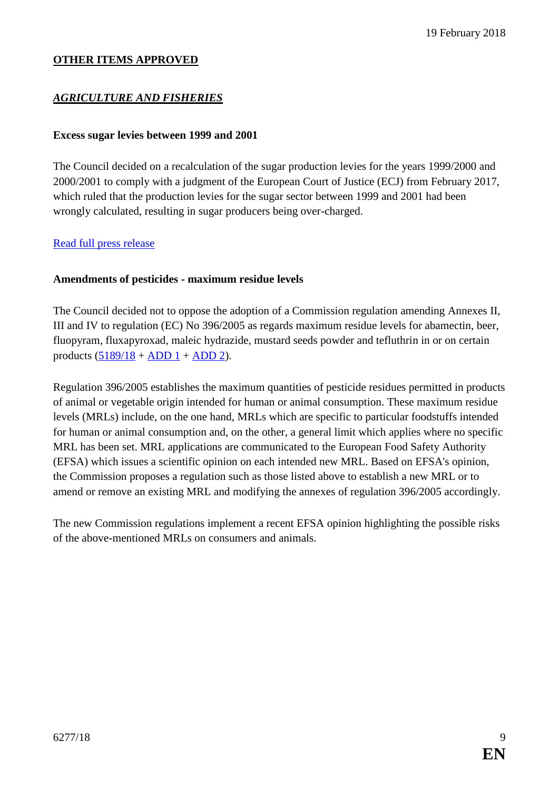#### **OTHER ITEMS APPROVED**

#### *AGRICULTURE AND FISHERIES*

#### <span id="page-8-0"></span>**Excess sugar levies between 1999 and 2001**

The Council decided on a recalculation of the sugar production levies for the years 1999/2000 and 2000/2001 to comply with a judgment of the European Court of Justice (ECJ) from February 2017, which ruled that the production levies for the sugar sector between 1999 and 2001 had been wrongly calculated, resulting in sugar producers being over-charged.

#### [Read full press release](http://www.consilium.europa.eu/en/press/press-releases/2018/02/19/sugar-sector-council-agrees-on-the-reimbursement-of-excess-levies-between-1999-and-2001/)

#### <span id="page-8-1"></span>**Amendments of pesticides - maximum residue levels**

The Council decided not to oppose the adoption of a Commission regulation amending Annexes II, III and IV to regulation (EC) No 396/2005 as regards maximum residue levels for abamectin, beer, fluopyram, fluxapyroxad, maleic hydrazide, mustard seeds powder and tefluthrin in or on certain products  $(\frac{5189}{18} + \text{ADD 1} + \text{ADD 2}).$ 

Regulation 396/2005 establishes the maximum quantities of pesticide residues permitted in products of animal or vegetable origin intended for human or animal consumption. These maximum residue levels (MRLs) include, on the one hand, MRLs which are specific to particular foodstuffs intended for human or animal consumption and, on the other, a general limit which applies where no specific MRL has been set. MRL applications are communicated to the European Food Safety Authority (EFSA) which issues a scientific opinion on each intended new MRL. Based on EFSA's opinion, the Commission proposes a regulation such as those listed above to establish a new MRL or to amend or remove an existing MRL and modifying the annexes of regulation 396/2005 accordingly.

The new Commission regulations implement a recent EFSA opinion highlighting the possible risks of the above-mentioned MRLs on consumers and animals.